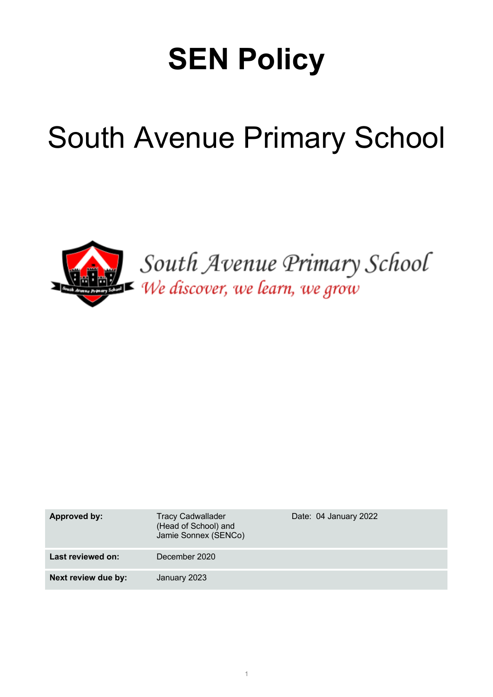# **SEN Policy**

# South Avenue Primary School



South Avenue Primary School We discover, we learn, we grow

| Approved by:        | <b>Tracy Cadwallader</b><br>(Head of School) and<br>Jamie Sonnex (SENCo) | Date: 04 January 2022 |
|---------------------|--------------------------------------------------------------------------|-----------------------|
| Last reviewed on:   | December 2020                                                            |                       |
| Next review due by: | January 2023                                                             |                       |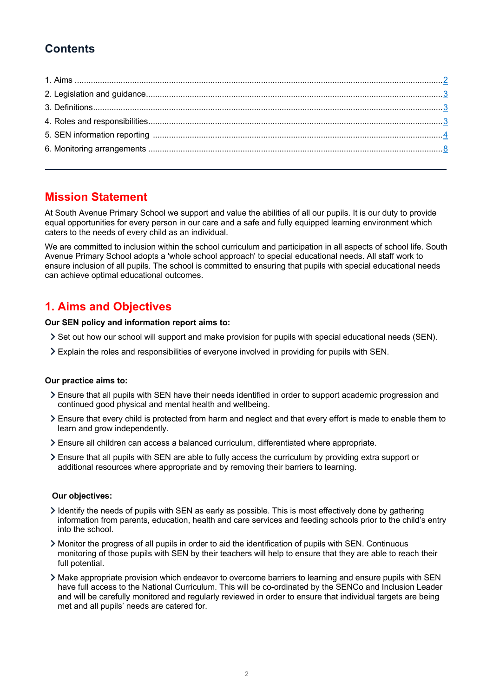# **Contents**

## **Mission Statement**

At South Avenue Primary School we support and value the abilities of all our pupils. It is our duty to provide equal opportunities for every person in our care and a safe and fully equipped learning environment which caters to the needs of every child as an individual.

We are committed to inclusion within the school curriculum and participation in all aspects of school life. South Avenue Primary School adopts a 'whole school approach' to special educational needs. All staff work to ensure inclusion of all pupils. The school is committed to ensuring that pupils with special educational needs can achieve optimal educational outcomes.

# **1. Aims and Objectives**

**Our SEN policy and information report aims to:** 

- Set out how our school will support and make provision for pupils with special educational needs (SEN).
- Explain the roles and responsibilities of everyone involved in providing for pupils with SEN.

#### **Our practice aims to:**

- Ensure that all pupils with SEN have their needs identified in order to support academic progression and continued good physical and mental health and wellbeing.
- Ensure that every child is protected from harm and neglect and that every effort is made to enable them to learn and grow independently.
- Ensure all children can access a balanced curriculum, differentiated where appropriate.
- Ensure that all pupils with SEN are able to fully access the curriculum by providing extra support or additional resources where appropriate and by removing their barriers to learning.

#### **Our objectives:**

- $\ge$  Identify the needs of pupils with SEN as early as possible. This is most effectively done by gathering information from parents, education, health and care services and feeding schools prior to the child's entry into the school.
- Monitor the progress of all pupils in order to aid the identification of pupils with SEN. Continuous monitoring of those pupils with SEN by their teachers will help to ensure that they are able to reach their full potential.
- Make appropriate provision which endeavor to overcome barriers to learning and ensure pupils with SEN have full access to the National Curriculum. This will be co-ordinated by the SENCo and Inclusion Leader and will be carefully monitored and regularly reviewed in order to ensure that individual targets are being met and all pupils' needs are catered for.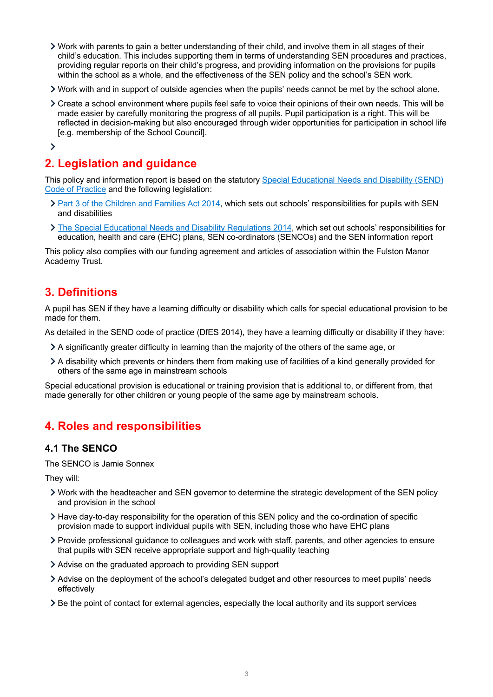- Work with parents to gain a better understanding of their child, and involve them in all stages of their child's education. This includes supporting them in terms of understanding SEN procedures and practices, providing regular reports on their child's progress, and providing information on the provisions for pupils within the school as a whole, and the effectiveness of the SEN policy and the school's SEN work.
- Work with and in support of outside agencies when the pupils' needs cannot be met by the school alone.
- Create a school environment where pupils feel safe to voice their opinions of their own needs. This will be made easier by carefully monitoring the progress of all pupils. Pupil participation is a right. This will be reflected in decision-making but also encouraged through wider opportunities for participation in school life [e.g. membership of the School Council].
- $\rightarrow$

# **2. Legislation and guidance**

This policy and information report is based on the statutory Special Educational Needs and Disability (SEND) Code of Practice and the following legislation:

- > Part 3 of the Children and Families Act 2014, which sets out schools' responsibilities for pupils with SEN and disabilities
- The Special Educational Needs and Disability Regulations 2014, which set out schools' responsibilities for education, health and care (EHC) plans, SEN co-ordinators (SENCOs) and the SEN information report

This policy also complies with our funding agreement and articles of association within the Fulston Manor Academy Trust.

## **3. Definitions**

A pupil has SEN if they have a learning difficulty or disability which calls for special educational provision to be made for them.

As detailed in the SEND code of practice (DfES 2014), they have a learning difficulty or disability if they have:

- A significantly greater difficulty in learning than the majority of the others of the same age, or
- A disability which prevents or hinders them from making use of facilities of a kind generally provided for others of the same age in mainstream schools

Special educational provision is educational or training provision that is additional to, or different from, that made generally for other children or young people of the same age by mainstream schools.

# **4. Roles and responsibilities**

## **4.1 The SENCO**

The SENCO is Jamie Sonnex

They will:

- Work with the headteacher and SEN governor to determine the strategic development of the SEN policy and provision in the school
- Have day-to-day responsibility for the operation of this SEN policy and the co-ordination of specific provision made to support individual pupils with SEN, including those who have EHC plans
- Provide professional guidance to colleagues and work with staff, parents, and other agencies to ensure that pupils with SEN receive appropriate support and high-quality teaching
- Advise on the graduated approach to providing SEN support
- Advise on the deployment of the school's delegated budget and other resources to meet pupils' needs effectively
- Be the point of contact for external agencies, especially the local authority and its support services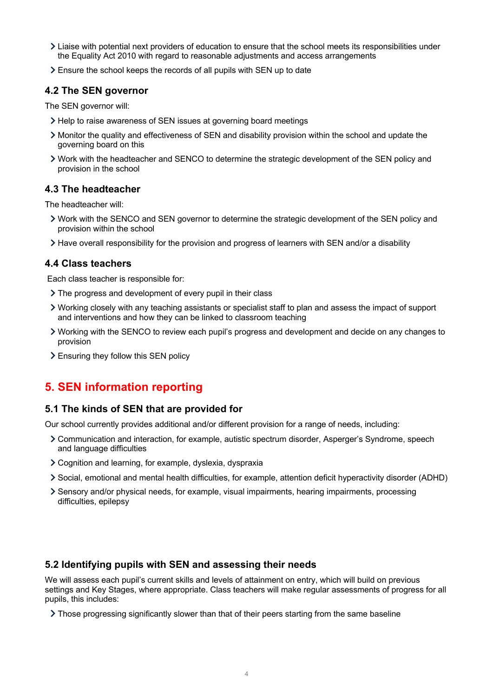- Liaise with potential next providers of education to ensure that the school meets its responsibilities under the Equality Act 2010 with regard to reasonable adjustments and access arrangements
- Ensure the school keeps the records of all pupils with SEN up to date

### **4.2 The SEN governor**

The SEN governor will:

- Help to raise awareness of SEN issues at governing board meetings
- Monitor the quality and effectiveness of SEN and disability provision within the school and update the governing board on this
- Work with the headteacher and SENCO to determine the strategic development of the SEN policy and provision in the school

### **4.3 The headteacher**

The headteacher will:

- Work with the SENCO and SEN governor to determine the strategic development of the SEN policy and provision within the school
- Have overall responsibility for the provision and progress of learners with SEN and/or a disability

### **4.4 Class teachers**

Each class teacher is responsible for:

- > The progress and development of every pupil in their class
- Working closely with any teaching assistants or specialist staff to plan and assess the impact of support and interventions and how they can be linked to classroom teaching
- Working with the SENCO to review each pupil's progress and development and decide on any changes to provision
- Ensuring they follow this SEN policy

# **5. SEN information reporting**

### **5.1 The kinds of SEN that are provided for**

Our school currently provides additional and/or different provision for a range of needs, including:

- Communication and interaction, for example, autistic spectrum disorder, Asperger's Syndrome, speech and language difficulties
- Cognition and learning, for example, dyslexia, dyspraxia
- Social, emotional and mental health difficulties, for example, attention deficit hyperactivity disorder (ADHD)
- Sensory and/or physical needs, for example, visual impairments, hearing impairments, processing difficulties, epilepsy

### **5.2 Identifying pupils with SEN and assessing their needs**

We will assess each pupil's current skills and levels of attainment on entry, which will build on previous settings and Key Stages, where appropriate. Class teachers will make regular assessments of progress for all pupils, this includes:

If Those progressing significantly slower than that of their peers starting from the same baseline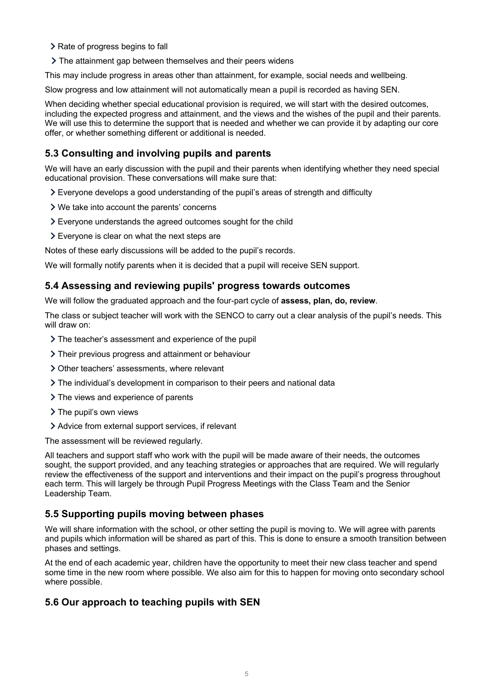- > Rate of progress begins to fall
- The attainment gap between themselves and their peers widens

This may include progress in areas other than attainment, for example, social needs and wellbeing.

Slow progress and low attainment will not automatically mean a pupil is recorded as having SEN.

When deciding whether special educational provision is required, we will start with the desired outcomes, including the expected progress and attainment, and the views and the wishes of the pupil and their parents. We will use this to determine the support that is needed and whether we can provide it by adapting our core offer, or whether something different or additional is needed.

## **5.3 Consulting and involving pupils and parents**

We will have an early discussion with the pupil and their parents when identifying whether they need special educational provision. These conversations will make sure that:

- Everyone develops a good understanding of the pupil's areas of strength and difficulty
- We take into account the parents' concerns
- Everyone understands the agreed outcomes sought for the child
- Everyone is clear on what the next steps are

Notes of these early discussions will be added to the pupil's records.

We will formally notify parents when it is decided that a pupil will receive SEN support.

## **5.4 Assessing and reviewing pupils' progress towards outcomes**

We will follow the graduated approach and the four-part cycle of **assess, plan, do, review**.

The class or subject teacher will work with the SENCO to carry out a clear analysis of the pupil's needs. This will draw on:

- > The teacher's assessment and experience of the pupil
- > Their previous progress and attainment or behaviour
- Other teachers' assessments, where relevant
- $\geq$  The individual's development in comparison to their peers and national data
- > The views and experience of parents
- > The pupil's own views
- Advice from external support services, if relevant

The assessment will be reviewed regularly.

All teachers and support staff who work with the pupil will be made aware of their needs, the outcomes sought, the support provided, and any teaching strategies or approaches that are required. We will regularly review the effectiveness of the support and interventions and their impact on the pupil's progress throughout each term. This will largely be through Pupil Progress Meetings with the Class Team and the Senior Leadership Team.

## **5.5 Supporting pupils moving between phases**

We will share information with the school, or other setting the pupil is moving to. We will agree with parents and pupils which information will be shared as part of this. This is done to ensure a smooth transition between phases and settings.

At the end of each academic year, children have the opportunity to meet their new class teacher and spend some time in the new room where possible. We also aim for this to happen for moving onto secondary school where possible.

## **5.6 Our approach to teaching pupils with SEN**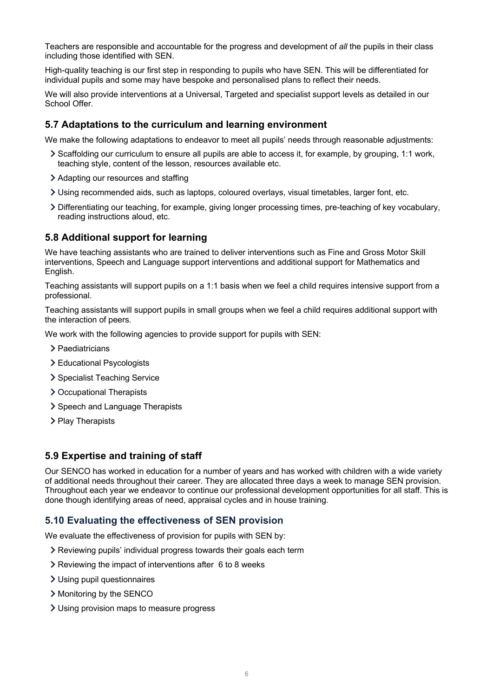Teachers are responsible and accountable for the progress and development of *all* the pupils in their class including those identified with SEN.

High-quality teaching is our first step in responding to pupils who have SEN. This will be differentiated for individual pupils and some may have bespoke and personalised plans to reflect their needs.

We will also provide interventions at a Universal, Targeted and specialist support levels as detailed in our School Offer.

#### **5.7 Adaptations to the curriculum and learning environment**

We make the following adaptations to endeavor to meet all pupils' needs through reasonable adjustments:

- Scaffolding our curriculum to ensure all pupils are able to access it, for example, by grouping, 1:1 work, teaching style, content of the lesson, resources available etc.
- Adapting our resources and staffing
- Using recommended aids, such as laptops, coloured overlays, visual timetables, larger font, etc.
- Differentiating our teaching, for example, giving longer processing times, pre-teaching of key vocabulary, reading instructions aloud, etc.

#### **5.8 Additional support for learning**

We have teaching assistants who are trained to deliver interventions such as Fine and Gross Motor Skill interventions, Speech and Language support interventions and additional support for Mathematics and English.

Teaching assistants will support pupils on a 1:1 basis when we feel a child requires intensive support from a professional.

Teaching assistants will support pupils in small groups when we feel a child requires additional support with the interaction of peers.

We work with the following agencies to provide support for pupils with SEN:

- > Paediatricians
- > Educational Psycologists
- > Specialist Teaching Service
- **>** Occupational Therapists
- > Speech and Language Therapists
- > Play Therapists

#### **5.9 Expertise and training of staff**

Our SENCO has worked in education for a number of years and has worked with children with a wide variety of additional needs throughout their career. They are allocated three days a week to manage SEN provision. Throughout each year we endeavor to continue our professional development opportunities for all staff. This is done though identifying areas of need, appraisal cycles and in house training.

#### **5.10 Evaluating the effectiveness of SEN provision**

We evaluate the effectiveness of provision for pupils with SEN by:

- Reviewing pupils' individual progress towards their goals each term
- Reviewing the impact of interventions after 6 to 8 weeks
- Using pupil questionnaires
- > Monitoring by the SENCO
- Using provision maps to measure progress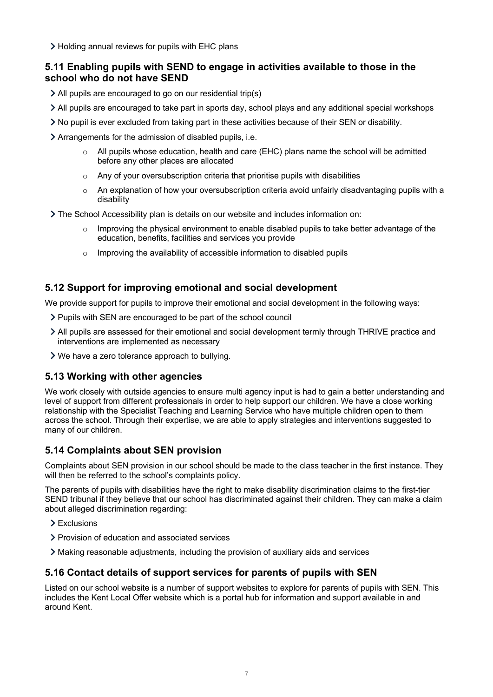> Holding annual reviews for pupils with EHC plans

## **5.11 Enabling pupils with SEND to engage in activities available to those in the school who do not have SEND**

- All pupils are encouraged to go on our residential trip(s)
- All pupils are encouraged to take part in sports day, school plays and any additional special workshops
- No pupil is ever excluded from taking part in these activities because of their SEN or disability.
- Arrangements for the admission of disabled pupils, i.e.
	- $\circ$  All pupils whose education, health and care (EHC) plans name the school will be admitted before any other places are allocated
	- Any of your oversubscription criteria that prioritise pupils with disabilities
	- $\circ$  An explanation of how your oversubscription criteria avoid unfairly disadvantaging pupils with a disability
- The School Accessibility plan is details on our website and includes information on:
	- Improving the physical environment to enable disabled pupils to take better advantage of the education, benefits, facilities and services you provide
	- Improving the availability of accessible information to disabled pupils

## **5.12 Support for improving emotional and social development**

We provide support for pupils to improve their emotional and social development in the following ways:

- Pupils with SEN are encouraged to be part of the school council
- All pupils are assessed for their emotional and social development termly through THRIVE practice and interventions are implemented as necessary
- We have a zero tolerance approach to bullying.

## **5.13 Working with other agencies**

We work closely with outside agencies to ensure multi agency input is had to gain a better understanding and level of support from different professionals in order to help support our children. We have a close working relationship with the Specialist Teaching and Learning Service who have multiple children open to them across the school. Through their expertise, we are able to apply strategies and interventions suggested to many of our children.

## **5.14 Complaints about SEN provision**

Complaints about SEN provision in our school should be made to the class teacher in the first instance. They will then be referred to the school's complaints policy.

The parents of pupils with disabilities have the right to make disability discrimination claims to the first-tier SEND tribunal if they believe that our school has discriminated against their children. They can make a claim about alleged discrimination regarding:

- > Exclusions
- Provision of education and associated services
- Making reasonable adjustments, including the provision of auxiliary aids and services

## **5.16 Contact details of support services for parents of pupils with SEN**

Listed on our school website is a number of support websites to explore for parents of pupils with SEN. This includes the Kent Local Offer website which is a portal hub for information and support available in and around Kent.